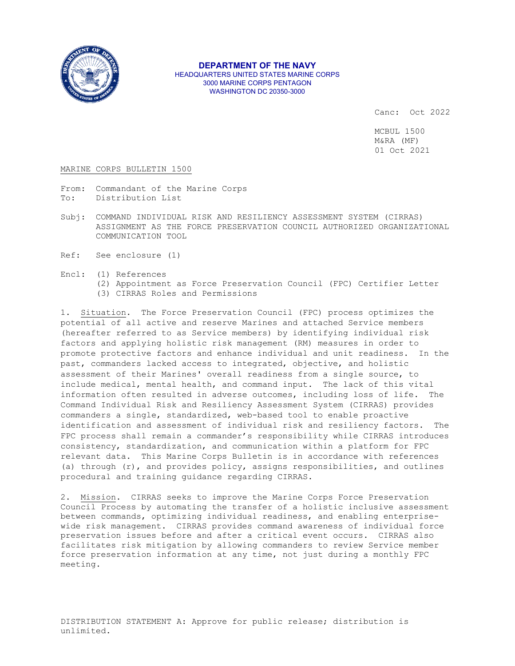

**DEPARTMENT OF THE NAVY** HEADQUARTERS UNITED STATES MARINE CORPS 3000 MARINE CORPS PENTAGON WASHINGTON DC 20350-3000

Canc: Oct 2022

MCBUL 1500 M&RA (MF) 01 Oct 2021

#### MARINE CORPS BULLETIN 1500

- From: Commandant of the Marine Corps<br>To: Distribution List Distribution List
- Subj: COMMAND INDIVIDUAL RISK AND RESILIENCY ASSESSMENT SYSTEM (CIRRAS) ASSIGNMENT AS THE FORCE PRESERVATION COUNCIL AUTHORIZED ORGANIZATIONAL COMMUNICATION TOOL
- Ref: See enclosure (1)
- Encl: (1) References
	- (2) Appointment as Force Preservation Council (FPC) Certifier Letter
	- (3) CIRRAS Roles and Permissions

1. Situation. The Force Preservation Council (FPC) process optimizes the potential of all active and reserve Marines and attached Service members (hereafter referred to as Service members) by identifying individual risk factors and applying holistic risk management (RM) measures in order to promote protective factors and enhance individual and unit readiness. In the past, commanders lacked access to integrated, objective, and holistic assessment of their Marines' overall readiness from a single source, to include medical, mental health, and command input. The lack of this vital information often resulted in adverse outcomes, including loss of life. The Command Individual Risk and Resiliency Assessment System (CIRRAS) provides commanders a single, standardized, web-based tool to enable proactive identification and assessment of individual risk and resiliency factors. The FPC process shall remain a commander's responsibility while CIRRAS introduces consistency, standardization, and communication within a platform for FPC relevant data. This Marine Corps Bulletin is in accordance with references (a) through (r), and provides policy, assigns responsibilities, and outlines procedural and training guidance regarding CIRRAS.

2. Mission. CIRRAS seeks to improve the Marine Corps Force Preservation Council Process by automating the transfer of a holistic inclusive assessment between commands, optimizing individual readiness, and enabling enterprisewide risk management. CIRRAS provides command awareness of individual force preservation issues before and after a critical event occurs. CIRRAS also facilitates risk mitigation by allowing commanders to review Service member force preservation information at any time, not just during a monthly FPC meeting.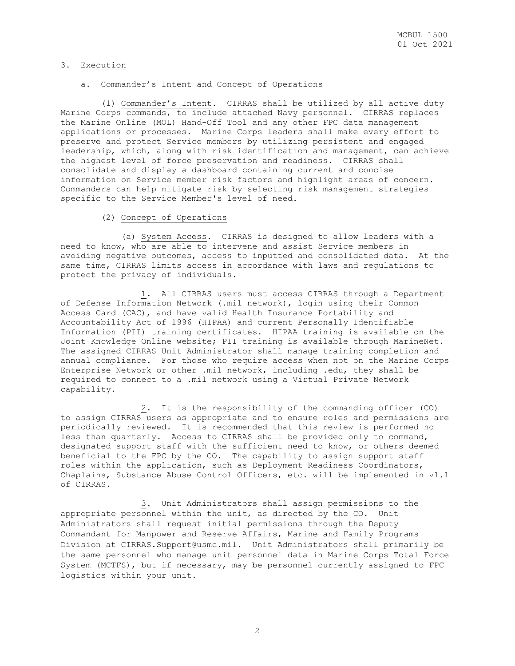# 3. Execution

#### a. Commander's Intent and Concept of Operations

 (1) Commander's Intent. CIRRAS shall be utilized by all active duty Marine Corps commands, to include attached Navy personnel. CIRRAS replaces the Marine Online (MOL) Hand-Off Tool and any other FPC data management applications or processes. Marine Corps leaders shall make every effort to preserve and protect Service members by utilizing persistent and engaged leadership, which, along with risk identification and management, can achieve the highest level of force preservation and readiness. CIRRAS shall consolidate and display a dashboard containing current and concise information on Service member risk factors and highlight areas of concern. Commanders can help mitigate risk by selecting risk management strategies specific to the Service Member's level of need.

# (2) Concept of Operations

 (a) System Access. CIRRAS is designed to allow leaders with a need to know, who are able to intervene and assist Service members in avoiding negative outcomes, access to inputted and consolidated data. At the same time, CIRRAS limits access in accordance with laws and regulations to protect the privacy of individuals.

 1. All CIRRAS users must access CIRRAS through a Department of Defense Information Network (.mil network), login using their Common Access Card (CAC), and have valid Health Insurance Portability and Accountability Act of 1996 (HIPAA) and current Personally Identifiable Information (PII) training certificates. HIPAA training is available on the Joint Knowledge Online website; PII training is available through MarineNet. The assigned CIRRAS Unit Administrator shall manage training completion and annual compliance. For those who require access when not on the Marine Corps Enterprise Network or other .mil network, including .edu, they shall be required to connect to a .mil network using a Virtual Private Network capability.

 2. It is the responsibility of the commanding officer (CO) to assign CIRRAS users as appropriate and to ensure roles and permissions are periodically reviewed. It is recommended that this review is performed no less than quarterly. Access to CIRRAS shall be provided only to command, designated support staff with the sufficient need to know, or others deemed beneficial to the FPC by the CO. The capability to assign support staff roles within the application, such as Deployment Readiness Coordinators, Chaplains, Substance Abuse Control Officers, etc. will be implemented in v1.1 of CIRRAS.

 3. Unit Administrators shall assign permissions to the appropriate personnel within the unit, as directed by the CO. Unit Administrators shall request initial permissions through the Deputy Commandant for Manpower and Reserve Affairs, Marine and Family Programs Division at [CIRRAS.Support@usmc.mil.](mailto:CIRRAS.Support@usmc.mil) Unit Administrators shall primarily be the same personnel who manage unit personnel data in Marine Corps Total Force System (MCTFS), but if necessary, may be personnel currently assigned to FPC logistics within your unit.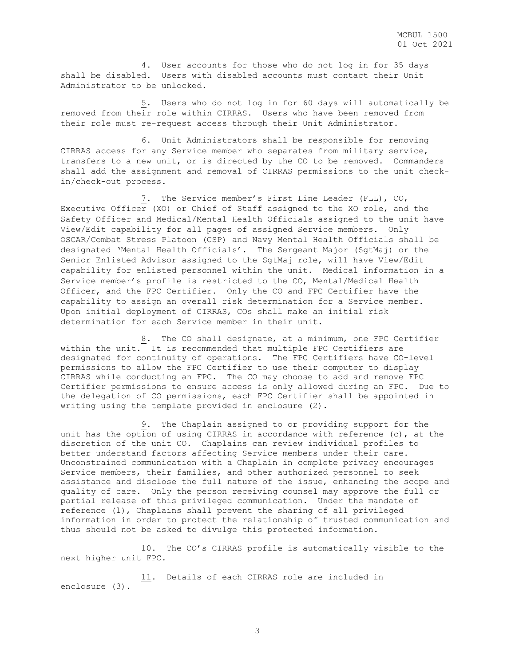4. User accounts for those who do not log in for 35 days shall be disabled. Users with disabled accounts must contact their Unit Administrator to be unlocked.

 5. Users who do not log in for 60 days will automatically be removed from their role within CIRRAS. Users who have been removed from their role must re-request access through their Unit Administrator.

 6. Unit Administrators shall be responsible for removing CIRRAS access for any Service member who separates from military service, transfers to a new unit, or is directed by the CO to be removed. Commanders shall add the assignment and removal of CIRRAS permissions to the unit checkin/check-out process.

 7. The Service member's First Line Leader (FLL), CO, Executive Officer (XO) or Chief of Staff assigned to the XO role, and the Safety Officer and Medical/Mental Health Officials assigned to the unit have View/Edit capability for all pages of assigned Service members. Only OSCAR/Combat Stress Platoon (CSP) and Navy Mental Health Officials shall be designated 'Mental Health Officials'. The Sergeant Major (SgtMaj) or the Senior Enlisted Advisor assigned to the SgtMaj role, will have View/Edit capability for enlisted personnel within the unit. Medical information in a Service member's profile is restricted to the CO, Mental/Medical Health Officer, and the FPC Certifier. Only the CO and FPC Certifier have the capability to assign an overall risk determination for a Service member. Upon initial deployment of CIRRAS, COs shall make an initial risk determination for each Service member in their unit.

 8. The CO shall designate, at a minimum, one FPC Certifier within the unit. It is recommended that multiple FPC Certifiers are designated for continuity of operations. The FPC Certifiers have CO-level permissions to allow the FPC Certifier to use their computer to display CIRRAS while conducting an FPC. The CO may choose to add and remove FPC Certifier permissions to ensure access is only allowed during an FPC. Due to the delegation of CO permissions, each FPC Certifier shall be appointed in writing using the template provided in enclosure (2).

 9. The Chaplain assigned to or providing support for the unit has the option of using CIRRAS in accordance with reference (c), at the discretion of the unit CO. Chaplains can review individual profiles to better understand factors affecting Service members under their care. Unconstrained communication with a Chaplain in complete privacy encourages Service members, their families, and other authorized personnel to seek assistance and disclose the full nature of the issue, enhancing the scope and quality of care. Only the person receiving counsel may approve the full or partial release of this privileged communication. Under the mandate of reference (l), Chaplains shall prevent the sharing of all privileged information in order to protect the relationship of trusted communication and thus should not be asked to divulge this protected information.

 10. The CO's CIRRAS profile is automatically visible to the next higher unit FPC.

 11. Details of each CIRRAS role are included in enclosure (3).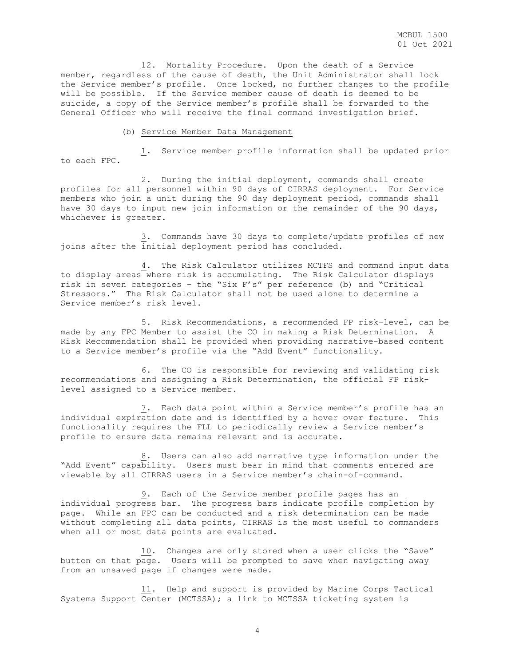12. Mortality Procedure. Upon the death of a Service member, regardless of the cause of death, the Unit Administrator shall lock the Service member's profile. Once locked, no further changes to the profile will be possible. If the Service member cause of death is deemed to be suicide, a copy of the Service member's profile shall be forwarded to the General Officer who will receive the final command investigation brief.

#### (b) Service Member Data Management

 1. Service member profile information shall be updated prior to each FPC.

 2. During the initial deployment, commands shall create profiles for all personnel within 90 days of CIRRAS deployment. For Service members who join a unit during the 90 day deployment period, commands shall have 30 days to input new join information or the remainder of the 90 days, whichever is greater.

 3. Commands have 30 days to complete/update profiles of new joins after the initial deployment period has concluded.

 4. The Risk Calculator utilizes MCTFS and command input data to display areas where risk is accumulating. The Risk Calculator displays risk in seven categories – the "Six F's" per reference (b) and "Critical Stressors." The Risk Calculator shall not be used alone to determine a Service member's risk level.

 5. Risk Recommendations, a recommended FP risk-level, can be made by any FPC Member to assist the CO in making a Risk Determination. A Risk Recommendation shall be provided when providing narrative-based content to a Service member's profile via the "Add Event" functionality.

 6. The CO is responsible for reviewing and validating risk recommendations and assigning a Risk Determination, the official FP risklevel assigned to a Service member.

 7. Each data point within a Service member's profile has an individual expiration date and is identified by a hover over feature. This functionality requires the FLL to periodically review a Service member's profile to ensure data remains relevant and is accurate.

 8. Users can also add narrative type information under the "Add Event" capability. Users must bear in mind that comments entered are viewable by all CIRRAS users in a Service member's chain-of-command.

 9. Each of the Service member profile pages has an individual progress bar. The progress bars indicate profile completion by page. While an FPC can be conducted and a risk determination can be made without completing all data points, CIRRAS is the most useful to commanders when all or most data points are evaluated.

 10. Changes are only stored when a user clicks the "Save" button on that page. Users will be prompted to save when navigating away from an unsaved page if changes were made.

 11. Help and support is provided by Marine Corps Tactical Systems Support Center (MCTSSA); a link to MCTSSA ticketing system is

4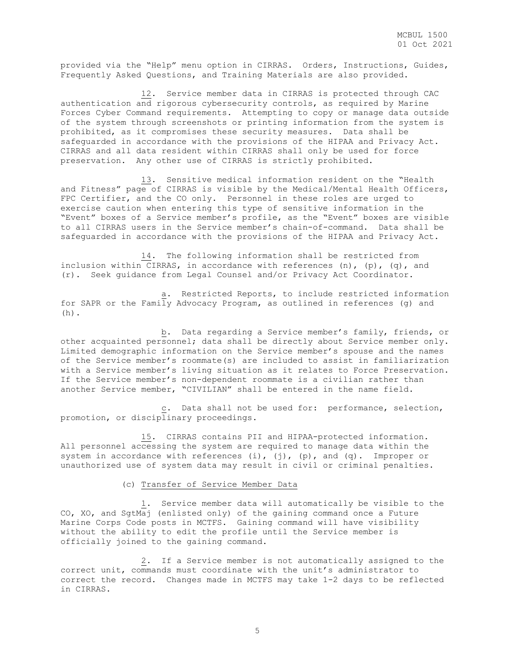provided via the "Help" menu option in CIRRAS. Orders, Instructions, Guides, Frequently Asked Questions, and Training Materials are also provided.

 12. Service member data in CIRRAS is protected through CAC authentication and rigorous cybersecurity controls, as required by Marine Forces Cyber Command requirements. Attempting to copy or manage data outside of the system through screenshots or printing information from the system is prohibited, as it compromises these security measures. Data shall be safeguarded in accordance with the provisions of the HIPAA and Privacy Act. CIRRAS and all data resident within CIRRAS shall only be used for force preservation. Any other use of CIRRAS is strictly prohibited.

 13. Sensitive medical information resident on the "Health and Fitness" page of CIRRAS is visible by the Medical/Mental Health Officers, FPC Certifier, and the CO only. Personnel in these roles are urged to exercise caution when entering this type of sensitive information in the "Event" boxes of a Service member's profile, as the "Event" boxes are visible to all CIRRAS users in the Service member's chain-of-command. Data shall be safeguarded in accordance with the provisions of the HIPAA and Privacy Act.

 14. The following information shall be restricted from inclusion within CIRRAS, in accordance with references (n), (p), (q), and (r). Seek guidance from Legal Counsel and/or Privacy Act Coordinator.

 a. Restricted Reports, to include restricted information for SAPR or the Family Advocacy Program, as outlined in references (g) and (h).

 b. Data regarding a Service member's family, friends, or other acquainted personnel; data shall be directly about Service member only. Limited demographic information on the Service member's spouse and the names of the Service member's roommate(s) are included to assist in familiarization with a Service member's living situation as it relates to Force Preservation. If the Service member's non-dependent roommate is a civilian rather than another Service member, "CIVILIAN" shall be entered in the name field.

 c. Data shall not be used for: performance, selection, promotion, or disciplinary proceedings.

 15. CIRRAS contains PII and HIPAA-protected information. All personnel accessing the system are required to manage data within the system in accordance with references (i), (j), (p), and (q). Improper or unauthorized use of system data may result in civil or criminal penalties.

# (c) Transfer of Service Member Data

 1. Service member data will automatically be visible to the CO, XO, and SgtMaj (enlisted only) of the gaining command once a Future Marine Corps Code posts in MCTFS. Gaining command will have visibility without the ability to edit the profile until the Service member is officially joined to the gaining command.

 2. If a Service member is not automatically assigned to the correct unit, commands must coordinate with the unit's administrator to correct the record. Changes made in MCTFS may take 1-2 days to be reflected in CIRRAS.

5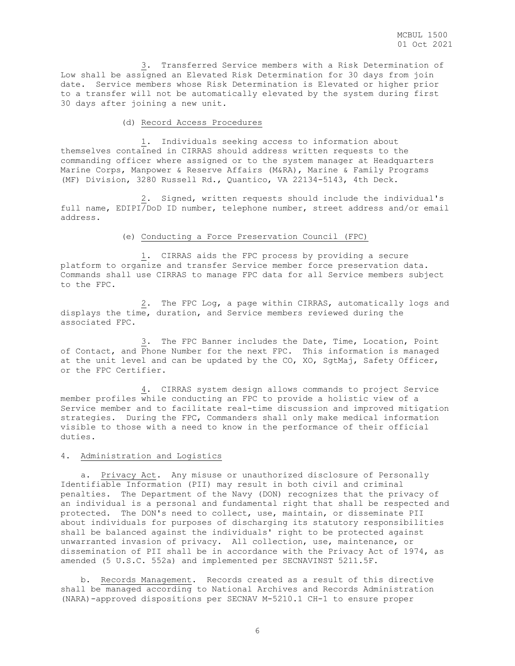3. Transferred Service members with a Risk Determination of Low shall be assigned an Elevated Risk Determination for 30 days from join date. Service members whose Risk Determination is Elevated or higher prior to a transfer will not be automatically elevated by the system during first 30 days after joining a new unit.

## (d) Record Access Procedures

 1. Individuals seeking access to information about themselves contained in CIRRAS should address written requests to the commanding officer where assigned or to the system manager at Headquarters Marine Corps, Manpower & Reserve Affairs (M&RA), Marine & Family Programs (MF) Division, 3280 Russell Rd., Quantico, VA 22134-5143, 4th Deck.

 2. Signed, written requests should include the individual's full name, EDIPI/DoD ID number, telephone number, street address and/or email address.

(e) Conducting a Force Preservation Council (FPC)

 1. CIRRAS aids the FPC process by providing a secure platform to organize and transfer Service member force preservation data. Commands shall use CIRRAS to manage FPC data for all Service members subject to the FPC.

 2. The FPC Log, a page within CIRRAS, automatically logs and displays the time, duration, and Service members reviewed during the associated FPC.

 3. The FPC Banner includes the Date, Time, Location, Point of Contact, and Phone Number for the next FPC. This information is managed at the unit level and can be updated by the CO, XO, SgtMaj, Safety Officer, or the FPC Certifier.

 4. CIRRAS system design allows commands to project Service member profiles while conducting an FPC to provide a holistic view of a Service member and to facilitate real-time discussion and improved mitigation strategies. During the FPC, Commanders shall only make medical information visible to those with a need to know in the performance of their official duties.

# 4. Administration and Logistics

 a. Privacy Act. Any misuse or unauthorized disclosure of Personally Identifiable Information (PII) may result in both civil and criminal penalties. The Department of the Navy (DON) recognizes that the privacy of an individual is a personal and fundamental right that shall be respected and protected. The DON's need to collect, use, maintain, or disseminate PII about individuals for purposes of discharging its statutory responsibilities shall be balanced against the individuals' right to be protected against unwarranted invasion of privacy. All collection, use, maintenance, or dissemination of PII shall be in accordance with the Privacy Act of 1974, as amended (5 U.S.C. 552a) and implemented per SECNAVINST 5211.5F.

 b. Records Management. Records created as a result of this directive shall be managed according to National Archives and Records Administration (NARA)-approved dispositions per SECNAV M-5210.1 CH-1 to ensure proper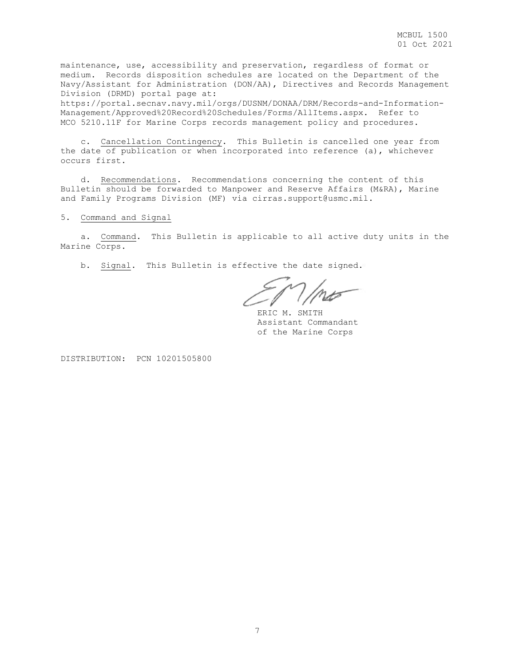maintenance, use, accessibility and preservation, regardless of format or medium. Records disposition schedules are located on the Department of the Navy/Assistant for Administration (DON/AA), Directives and Records Management Division (DRMD) portal page at:

https://portal.secnav.navy.mil/orgs/DUSNM/DONAA/DRM/Records-and-Information-Management/Approved%20Record%20Schedules/Forms/AllItems.aspx. Refer to MCO 5210.11F for Marine Corps records management policy and procedures.

 c. Cancellation Contingency. This Bulletin is cancelled one year from the date of publication or when incorporated into reference (a), whichever occurs first.

 d. Recommendations. Recommendations concerning the content of this Bulletin should be forwarded to Manpower and Reserve Affairs (M&RA), Marine and Family Programs Division (MF) via cirras.support@usmc.mil.

5. Command and Signal

 a. Command. This Bulletin is applicable to all active duty units in the Marine Corps.

b. Signal. This Bulletin is effective the date signed.

ERIC M. SMITH Assistant Commandant of the Marine Corps

DISTRIBUTION: PCN 10201505800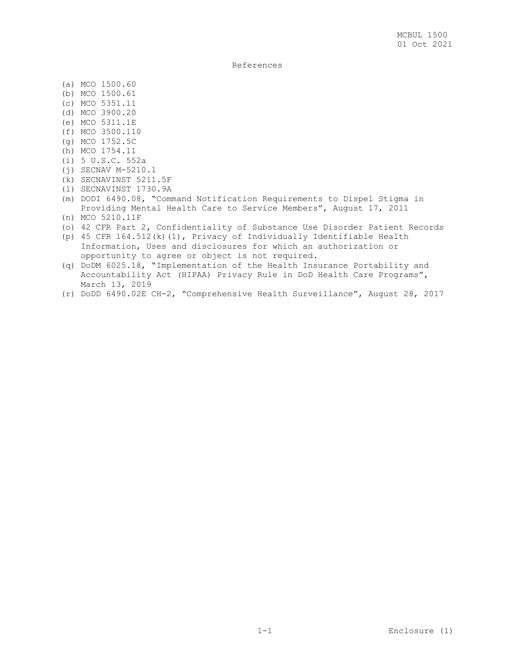References

- (a) MCO 1500.60
- (b) MCO 1500.61
- (c) MCO 5351.11
- (d) MCO 3900.20
- (e) MCO 5311.1E
- (f) MCO 3500.110
- (g) MCO 1752.5C
- (h) MCO 1754.11
- (i) 5 U.S.C. 552a
- (j) SECNAV M-5210.1
- (k) SECNAVINST 5211.5F
- (l) SECNAVINST 1730.9A
- (m) DODI 6490.08, "Command Notification Requirements to Dispel Stigma in Providing Mental Health Care to Service Members", August 17, 2011
- (n) MCO 5210.11F
- (o) 42 CFR Part 2, Confidentiality of Substance Use Disorder Patient Records
- (p) 45 CFR 164.512(k)(1), Privacy of Individually Identifiable Health Information, Uses and disclosures for which an authorization or opportunity to agree or object is not required.
- (q) DoDM 6025.18, "Implementation of the Health Insurance Portability and Accountability Act (HIPAA) Privacy Rule in DoD Health Care Programs", March 13, 2019
- (r) DoDD 6490.02E CH-2, "Comprehensive Health Surveillance", August 28, 2017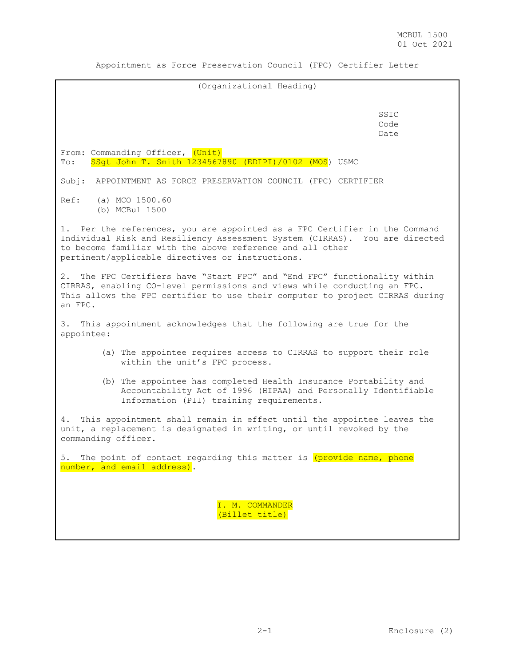Appointment as Force Preservation Council (FPC) Certifier Letter

| (Organizational Heading)                                                                                                                                                                                                                                                   |  |  |
|----------------------------------------------------------------------------------------------------------------------------------------------------------------------------------------------------------------------------------------------------------------------------|--|--|
|                                                                                                                                                                                                                                                                            |  |  |
| SSIC<br>Code<br>Date                                                                                                                                                                                                                                                       |  |  |
| From: Commanding Officer, (Unit)<br>SSqt John T. Smith 1234567890 (EDIPI)/0102 (MOS) USMC<br>$\texttt{To:}$                                                                                                                                                                |  |  |
| Subj:<br>APPOINTMENT AS FORCE PRESERVATION COUNCIL (FPC) CERTIFIER                                                                                                                                                                                                         |  |  |
| Ref: (a) MCO 1500.60<br>(b) MCBul 1500                                                                                                                                                                                                                                     |  |  |
| 1. Per the references, you are appointed as a FPC Certifier in the Command<br>Individual Risk and Resiliency Assessment System (CIRRAS). You are directed<br>to become familiar with the above reference and all other<br>pertinent/applicable directives or instructions. |  |  |
| The FPC Certifiers have "Start FPC" and "End FPC" functionality within<br>2.<br>CIRRAS, enabling CO-level permissions and views while conducting an FPC.<br>This allows the FPC certifier to use their computer to project CIRRAS during<br>an FPC.                        |  |  |
| 3. This appointment acknowledges that the following are true for the<br>appointee:                                                                                                                                                                                         |  |  |
| (a) The appointee requires access to CIRRAS to support their role<br>within the unit's FPC process.                                                                                                                                                                        |  |  |
| (b) The appointee has completed Health Insurance Portability and<br>Accountability Act of 1996 (HIPAA) and Personally Identifiable<br>Information (PII) training requirements.                                                                                             |  |  |
| This appointment shall remain in effect until the appointee leaves the<br>4.<br>unit, a replacement is designated in writing, or until revoked by the<br>commanding officer.                                                                                               |  |  |
| 5.<br>The point of contact regarding this matter is (provide name, phone<br>number, and email address).                                                                                                                                                                    |  |  |
| I. M. COMMANDER<br>(Billet title)                                                                                                                                                                                                                                          |  |  |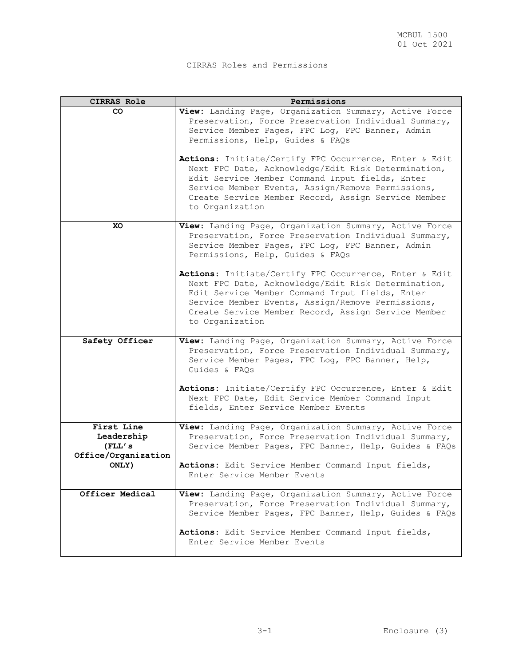# CIRRAS Roles and Permissions

| <b>CIRRAS Role</b>     | Permissions                                                                                                    |
|------------------------|----------------------------------------------------------------------------------------------------------------|
| CO.                    | View: Landing Page, Organization Summary, Active Force                                                         |
|                        | Preservation, Force Preservation Individual Summary,<br>Service Member Pages, FPC Log, FPC Banner, Admin       |
|                        | Permissions, Help, Guides & FAQs                                                                               |
|                        |                                                                                                                |
|                        | Actions: Initiate/Certify FPC Occurrence, Enter & Edit<br>Next FPC Date, Acknowledge/Edit Risk Determination,  |
|                        | Edit Service Member Command Input fields, Enter                                                                |
|                        | Service Member Events, Assign/Remove Permissions,<br>Create Service Member Record, Assign Service Member       |
|                        | to Organization                                                                                                |
| XO                     | View: Landing Page, Organization Summary, Active Force                                                         |
|                        | Preservation, Force Preservation Individual Summary,                                                           |
|                        | Service Member Pages, FPC Log, FPC Banner, Admin<br>Permissions, Help, Guides & FAQs                           |
|                        |                                                                                                                |
|                        | Actions: Initiate/Certify FPC Occurrence, Enter & Edit<br>Next FPC Date, Acknowledge/Edit Risk Determination,  |
|                        | Edit Service Member Command Input fields, Enter                                                                |
|                        | Service Member Events, Assign/Remove Permissions,                                                              |
|                        | Create Service Member Record, Assign Service Member<br>to Organization                                         |
|                        |                                                                                                                |
| Safety Officer         | View: Landing Page, Organization Summary, Active Force<br>Preservation, Force Preservation Individual Summary, |
|                        | Service Member Pages, FPC Log, FPC Banner, Help,                                                               |
|                        | Guides & FAOs                                                                                                  |
|                        | Actions: Initiate/Certify FPC Occurrence, Enter & Edit                                                         |
|                        | Next FPC Date, Edit Service Member Command Input                                                               |
|                        | fields, Enter Service Member Events                                                                            |
| First Line             | View: Landing Page, Organization Summary, Active Force                                                         |
| Leadership<br>(FLL' s) | Preservation, Force Preservation Individual Summary,<br>Service Member Pages, FPC Banner, Help, Guides & FAQs  |
| Office/Organization    |                                                                                                                |
| ONLY)                  | Actions: Edit Service Member Command Input fields,                                                             |
|                        | Enter Service Member Events                                                                                    |
| Officer Medical        | View: Landing Page, Organization Summary, Active Force                                                         |
|                        | Preservation, Force Preservation Individual Summary,<br>Service Member Pages, FPC Banner, Help, Guides & FAQs  |
|                        |                                                                                                                |
|                        | Actions: Edit Service Member Command Input fields,<br>Enter Service Member Events                              |
|                        |                                                                                                                |